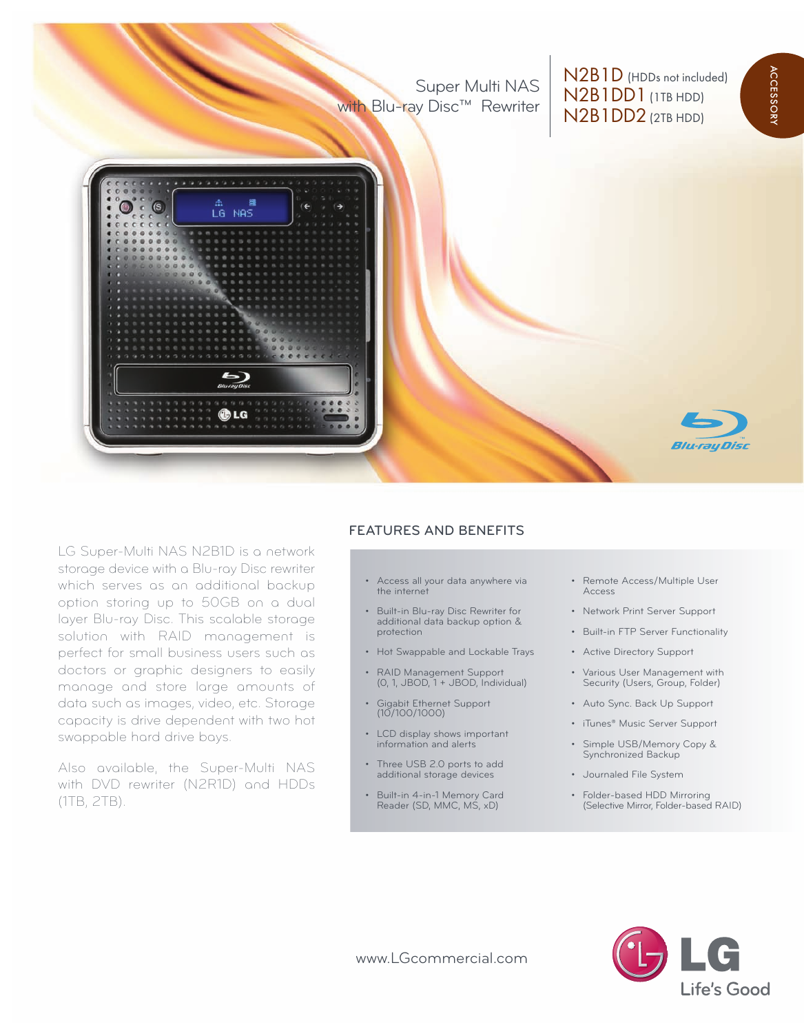Super Multi NAS with Blu-ray Disc™ Rewriter

N2B1D (HDDs not included) N2B1DD1(1TB HDD) N2B1DD2(2TB HDD)

a c

cessory



LG Super-Multi NAS N2B1D is a network storage device with a Blu-ray Disc rewriter which serves as an additional backup option storing up to 50GB on a dual layer Blu-ray Disc. This scalable storage solution with RAID management is perfect for small business users such as doctors or graphic designers to easily manage and store large amounts of data such as images, video, etc. Storage capacity is drive dependent with two hot swappable hard drive bays.

Also available, the Super-Multi NAS with DVD rewriter (N2R1D) and HDDs (1TB, 2TB).

## **FEATURES AND BENEFITS**

- Access all your data anywhere via the internet
- Built-in Blu-ray Disc Rewriter for additional data backup option & protection
- Hot Swappable and Lockable Trays
- RAID Management Support (0, 1, JBOD, 1 + JBOD, Individual)
- Gigabit Ethernet Support (10/100/1000)
- LCD display shows important information and alerts
- Three USB 2.0 ports to add additional storage devices
- Built-in 4-in-1 Memory Card Reader (SD, MMC, MS, xD)
- Remote Access/Multiple User Access
- Network Print Server Support
- Built-in FTP Server Functionality
- Active Directory Support
- Various User Management with Security (Users, Group, Folder)
- Auto Sync. Back Up Support
- iTunes® Music Server Support
- Simple USB/Memory Copy & Synchronized Backup
- Journaled File System
- Folder-based HDD Mirroring (Selective Mirror, Folder-based RAID)